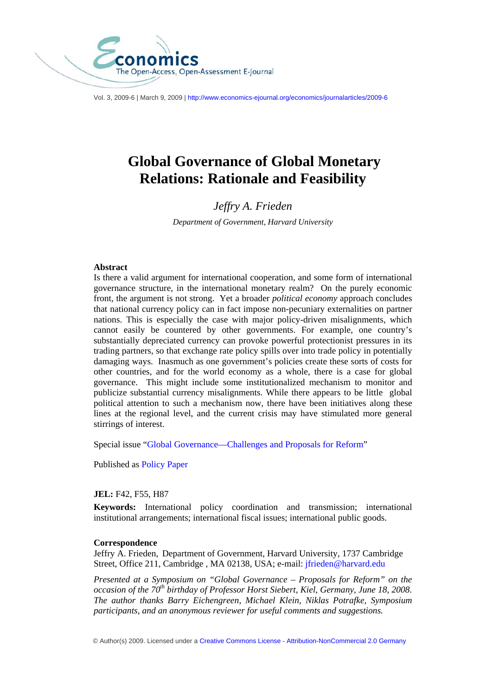

Vol. 3, 2009-6 | March 9, 2009 |<http://www.economics-ejournal.org/economics/journalarticles/2009-6>

# **Global Governance of Global Monetary Relations: Rationale and Feasibility**

# *Jeffry A. Frieden*

*Department of Government, Harvard University* 

#### **Abstract**

Is there a valid argument for international cooperation, and some form of international governance structure, in the international monetary realm? On the purely economic front, the argument is not strong. Yet a broader *political economy* approach concludes that national currency policy can in fact impose non-pecuniary externalities on partner nations. This is especially the case with major policy-driven misalignments, which cannot easily be countered by other governments. For example, one country's substantially depreciated currency can provoke powerful protectionist pressures in its trading partners, so that exchange rate policy spills over into trade policy in potentially damaging ways. Inasmuch as one government's policies create these sorts of costs for other countries, and for the world economy as a whole, there is a case for global governance. This might include some institutionalized mechanism to monitor and publicize substantial currency misalignments. While there appears to be little global political attention to such a mechanism now, there have been initiatives along these lines at the regional level, and the current crisis may have stimulated more general stirrings of interest.

Special issue ["Global Governance—Challenges and Proposals for Reform"](http://www.economics-ejournal.org/special-areas/special-issues/special-issue-global-governance2014challenges-and-proposals-for-reform)

Published as [Policy Paper](http://www.economics-ejournal.org/special-areas/policy-papers)

### **JEL:** F42, F55, H87

**Keywords:** International policy coordination and transmission; international institutional arrangements; international fiscal issues; international public goods.

#### **Correspondence**

Jeffry A. Frieden, Department of Government, Harvard University, 1737 Cambridge Street, Office 211, Cambridge , MA 02138, USA; e-mail: [jfrieden@harvard.edu](mailto:jfrieden@harvard.edu)

*Presented at a Symposium on "Global Governance – Proposals for Reform" on the occasion of the 70<sup>th</sup> birthday of Professor Horst Siebert, Kiel, Germany, June 18, 2008. The author thanks Barry Eichengreen, Michael Klein, Niklas Potrafke, Symposium participants, and an anonymous reviewer for useful comments and suggestions.* 

© Author(s) 2009. Licensed under a [Creative Commons License - Attribution-NonCommercial 2.0 Germany](http://creativecommons.org/licenses/by-nc/2.0/de/deed.en)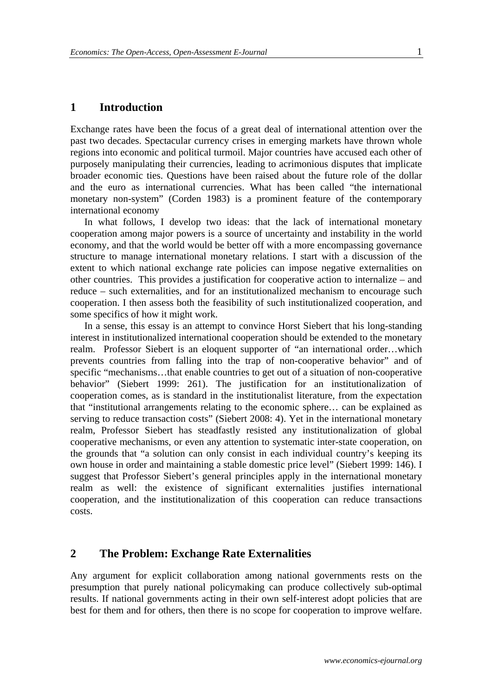Exchange rates have been the focus of a great deal of international attention over the past two decades. Spectacular currency crises in emerging markets have thrown whole regions into economic and political turmoil. Major countries have accused each other of purposely manipulating their currencies, leading to acrimonious disputes that implicate broader economic ties. Questions have been raised about the future role of the dollar and the euro as international currencies. What has been called "the international monetary non-system" (Corden 1983) is a prominent feature of the contemporary international economy

In what follows, I develop two ideas: that the lack of international monetary cooperation among major powers is a source of uncertainty and instability in the world economy, and that the world would be better off with a more encompassing governance structure to manage international monetary relations. I start with a discussion of the extent to which national exchange rate policies can impose negative externalities on other countries. This provides a justification for cooperative action to internalize – and reduce – such externalities, and for an institutionalized mechanism to encourage such cooperation. I then assess both the feasibility of such institutionalized cooperation, and some specifics of how it might work.

In a sense, this essay is an attempt to convince Horst Siebert that his long-standing interest in institutionalized international cooperation should be extended to the monetary realm. Professor Siebert is an eloquent supporter of "an international order…which prevents countries from falling into the trap of non-cooperative behavior" and of specific "mechanisms…that enable countries to get out of a situation of non-cooperative behavior" (Siebert 1999: 261). The justification for an institutionalization of cooperation comes, as is standard in the institutionalist literature, from the expectation that "institutional arrangements relating to the economic sphere… can be explained as serving to reduce transaction costs" (Siebert 2008: 4). Yet in the international monetary realm, Professor Siebert has steadfastly resisted any institutionalization of global cooperative mechanisms, or even any attention to systematic inter-state cooperation, on the grounds that "a solution can only consist in each individual country's keeping its own house in order and maintaining a stable domestic price level" (Siebert 1999: 146). I suggest that Professor Siebert's general principles apply in the international monetary realm as well: the existence of significant externalities justifies international cooperation, and the institutionalization of this cooperation can reduce transactions costs.

## **2 The Problem: Exchange Rate Externalities**

Any argument for explicit collaboration among national governments rests on the presumption that purely national policymaking can produce collectively sub-optimal results. If national governments acting in their own self-interest adopt policies that are best for them and for others, then there is no scope for cooperation to improve welfare.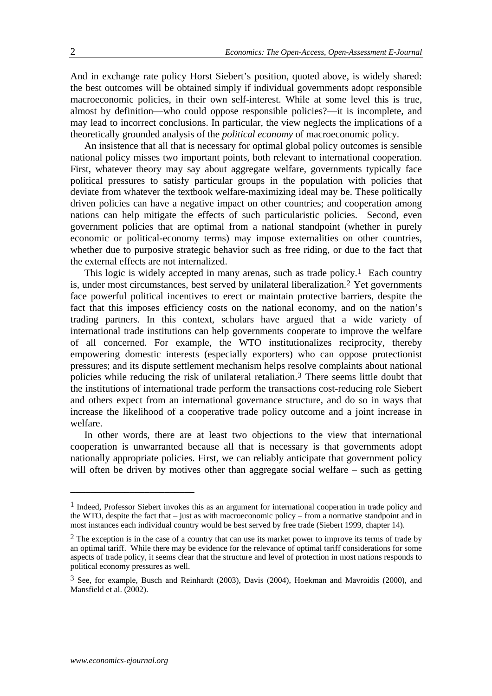And in exchange rate policy Horst Siebert's position, quoted above, is widely shared: the best outcomes will be obtained simply if individual governments adopt responsible macroeconomic policies, in their own self-interest. While at some level this is true, almost by definition—who could oppose responsible policies?—it is incomplete, and may lead to incorrect conclusions. In particular, the view neglects the implications of a theoretically grounded analysis of the *political economy* of macroeconomic policy.

An insistence that all that is necessary for optimal global policy outcomes is sensible national policy misses two important points, both relevant to international cooperation. First, whatever theory may say about aggregate welfare, governments typically face political pressures to satisfy particular groups in the population with policies that deviate from whatever the textbook welfare-maximizing ideal may be. These politically driven policies can have a negative impact on other countries; and cooperation among nations can help mitigate the effects of such particularistic policies. Second, even government policies that are optimal from a national standpoint (whether in purely economic or political-economy terms) may impose externalities on other countries, whether due to purposive strategic behavior such as free riding, or due to the fact that the external effects are not internalized.

This logic is widely accepted in many arenas, such as trade policy.<sup>[1](#page-2-0)</sup> Each country is, under most circumstances, best served by unilateral liberalization.[2](#page-2-1) Yet governments face powerful political incentives to erect or maintain protective barriers, despite the fact that this imposes efficiency costs on the national economy, and on the nation's trading partners. In this context, scholars have argued that a wide variety of international trade institutions can help governments cooperate to improve the welfare of all concerned. For example, the WTO institutionalizes reciprocity, thereby empowering domestic interests (especially exporters) who can oppose protectionist pressures; and its dispute settlement mechanism helps resolve complaints about national policies while reducing the risk of unilateral retaliation.[3](#page-2-2) There seems little doubt that the institutions of international trade perform the transactions cost-reducing role Siebert and others expect from an international governance structure, and do so in ways that increase the likelihood of a cooperative trade policy outcome and a joint increase in welfare.

In other words, there are at least two objections to the view that international cooperation is unwarranted because all that is necessary is that governments adopt nationally appropriate policies. First, we can reliably anticipate that government policy will often be driven by motives other than aggregate social welfare – such as getting

<span id="page-2-0"></span><sup>&</sup>lt;sup>1</sup> Indeed, Professor Siebert invokes this as an argument for international cooperation in trade policy and the WTO, despite the fact that – just as with macroeconomic policy – from a normative standpoint and in most instances each individual country would be best served by free trade (Siebert 1999, chapter 14).

<span id="page-2-1"></span> $2$  The exception is in the case of a country that can use its market power to improve its terms of trade by an optimal tariff. While there may be evidence for the relevance of optimal tariff considerations for some aspects of trade policy, it seems clear that the structure and level of protection in most nations responds to political economy pressures as well.

<span id="page-2-2"></span><sup>3</sup> See, for example, Busch and Reinhardt (2003), Davis (2004), Hoekman and Mavroidis (2000), and Mansfield et al. (2002).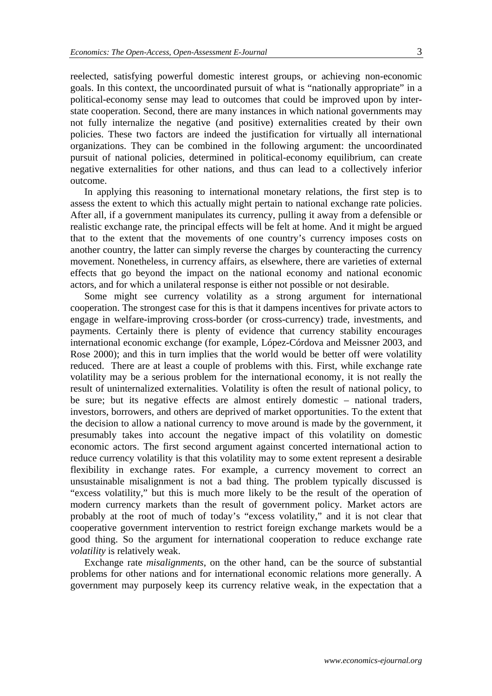reelected, satisfying powerful domestic interest groups, or achieving non-economic goals. In this context, the uncoordinated pursuit of what is "nationally appropriate" in a political-economy sense may lead to outcomes that could be improved upon by interstate cooperation. Second, there are many instances in which national governments may not fully internalize the negative (and positive) externalities created by their own policies. These two factors are indeed the justification for virtually all international organizations. They can be combined in the following argument: the uncoordinated pursuit of national policies, determined in political-economy equilibrium, can create negative externalities for other nations, and thus can lead to a collectively inferior outcome.

In applying this reasoning to international monetary relations, the first step is to assess the extent to which this actually might pertain to national exchange rate policies. After all, if a government manipulates its currency, pulling it away from a defensible or realistic exchange rate, the principal effects will be felt at home. And it might be argued that to the extent that the movements of one country's currency imposes costs on another country, the latter can simply reverse the charges by counteracting the currency movement. Nonetheless, in currency affairs, as elsewhere, there are varieties of external effects that go beyond the impact on the national economy and national economic actors, and for which a unilateral response is either not possible or not desirable.

Some might see currency volatility as a strong argument for international cooperation. The strongest case for this is that it dampens incentives for private actors to engage in welfare-improving cross-border (or cross-currency) trade, investments, and payments. Certainly there is plenty of evidence that currency stability encourages international economic exchange (for example, López-Córdova and Meissner 2003, and Rose 2000); and this in turn implies that the world would be better off were volatility reduced. There are at least a couple of problems with this. First, while exchange rate volatility may be a serious problem for the international economy, it is not really the result of uninternalized externalities. Volatility is often the result of national policy, to be sure; but its negative effects are almost entirely domestic – national traders, investors, borrowers, and others are deprived of market opportunities. To the extent that the decision to allow a national currency to move around is made by the government, it presumably takes into account the negative impact of this volatility on domestic economic actors. The first second argument against concerted international action to reduce currency volatility is that this volatility may to some extent represent a desirable flexibility in exchange rates. For example, a currency movement to correct an unsustainable misalignment is not a bad thing. The problem typically discussed is "excess volatility," but this is much more likely to be the result of the operation of modern currency markets than the result of government policy. Market actors are probably at the root of much of today's "excess volatility," and it is not clear that cooperative government intervention to restrict foreign exchange markets would be a good thing. So the argument for international cooperation to reduce exchange rate *volatility* is relatively weak.

Exchange rate *misalignments*, on the other hand, can be the source of substantial problems for other nations and for international economic relations more generally. A government may purposely keep its currency relative weak, in the expectation that a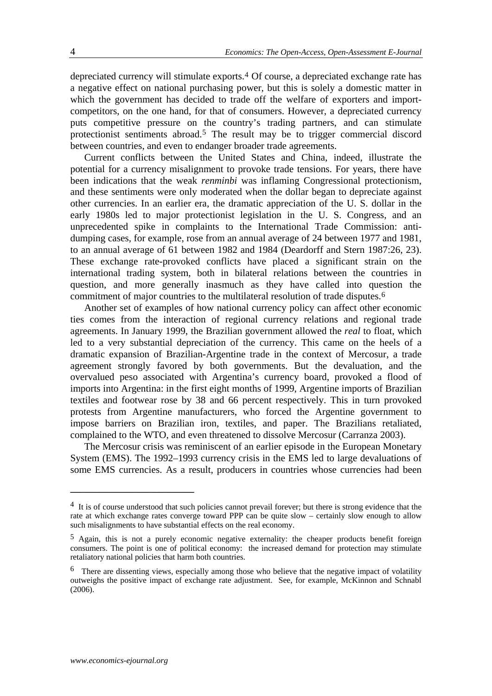depreciated currency will stimulate exports.[4](#page-4-0) Of course, a depreciated exchange rate has a negative effect on national purchasing power, but this is solely a domestic matter in which the government has decided to trade off the welfare of exporters and importcompetitors, on the one hand, for that of consumers. However, a depreciated currency puts competitive pressure on the country's trading partners, and can stimulate protectionist sentiments abroad.[5](#page-4-1) The result may be to trigger commercial discord between countries, and even to endanger broader trade agreements.

Current conflicts between the United States and China, indeed, illustrate the potential for a currency misalignment to provoke trade tensions. For years, there have been indications that the weak *renminbi* was inflaming Congressional protectionism, and these sentiments were only moderated when the dollar began to depreciate against other currencies. In an earlier era, the dramatic appreciation of the U. S. dollar in the early 1980s led to major protectionist legislation in the U. S. Congress, and an unprecedented spike in complaints to the International Trade Commission: antidumping cases, for example, rose from an annual average of 24 between 1977 and 1981, to an annual average of 61 between 1982 and 1984 (Deardorff and Stern 1987:26, 23). These exchange rate-provoked conflicts have placed a significant strain on the international trading system, both in bilateral relations between the countries in question, and more generally inasmuch as they have called into question the commitment of major countries to the multilateral resolution of trade disputes.[6](#page-4-2)

Another set of examples of how national currency policy can affect other economic ties comes from the interaction of regional currency relations and regional trade agreements. In January 1999, the Brazilian government allowed the *real* to float, which led to a very substantial depreciation of the currency. This came on the heels of a dramatic expansion of Brazilian-Argentine trade in the context of Mercosur, a trade agreement strongly favored by both governments. But the devaluation, and the overvalued peso associated with Argentina's currency board, provoked a flood of imports into Argentina: in the first eight months of 1999, Argentine imports of Brazilian textiles and footwear rose by 38 and 66 percent respectively. This in turn provoked protests from Argentine manufacturers, who forced the Argentine government to impose barriers on Brazilian iron, textiles, and paper. The Brazilians retaliated, complained to the WTO, and even threatened to dissolve Mercosur (Carranza 2003).

The Mercosur crisis was reminiscent of an earlier episode in the European Monetary System (EMS). The 1992–1993 currency crisis in the EMS led to large devaluations of some EMS currencies. As a result, producers in countries whose currencies had been

<span id="page-4-0"></span><sup>&</sup>lt;sup>4</sup> It is of course understood that such policies cannot prevail forever; but there is strong evidence that the rate at which exchange rates converge toward PPP can be quite slow – certainly slow enough to allow such misalignments to have substantial effects on the real economy.

<span id="page-4-1"></span><sup>5</sup> Again, this is not a purely economic negative externality: the cheaper products benefit foreign consumers. The point is one of political economy: the increased demand for protection may stimulate retaliatory national policies that harm both countries.

<span id="page-4-2"></span> $6\degree$  There are dissenting views, especially among those who believe that the negative impact of volatility outweighs the positive impact of exchange rate adjustment. See, for example, McKinnon and Schnabl (2006).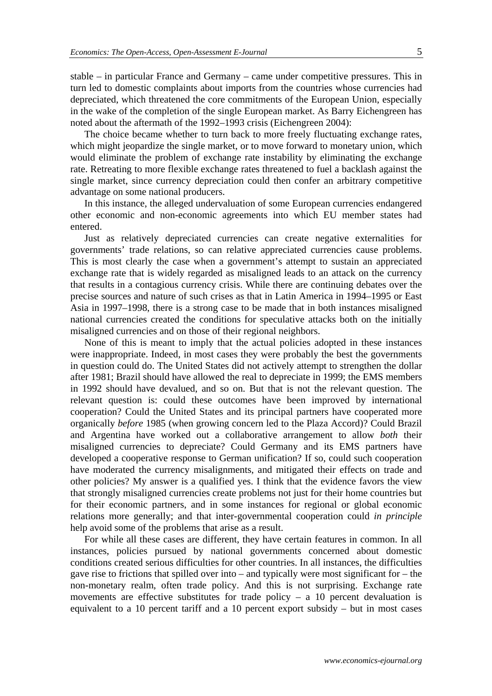stable – in particular France and Germany – came under competitive pressures. This in turn led to domestic complaints about imports from the countries whose currencies had depreciated, which threatened the core commitments of the European Union, especially in the wake of the completion of the single European market. As Barry Eichengreen has noted about the aftermath of the 1992–1993 crisis (Eichengreen 2004):

The choice became whether to turn back to more freely fluctuating exchange rates, which might jeopardize the single market, or to move forward to monetary union, which would eliminate the problem of exchange rate instability by eliminating the exchange rate. Retreating to more flexible exchange rates threatened to fuel a backlash against the single market, since currency depreciation could then confer an arbitrary competitive advantage on some national producers.

In this instance, the alleged undervaluation of some European currencies endangered other economic and non-economic agreements into which EU member states had entered.

Just as relatively depreciated currencies can create negative externalities for governments' trade relations, so can relative appreciated currencies cause problems. This is most clearly the case when a government's attempt to sustain an appreciated exchange rate that is widely regarded as misaligned leads to an attack on the currency that results in a contagious currency crisis. While there are continuing debates over the precise sources and nature of such crises as that in Latin America in 1994–1995 or East Asia in 1997–1998, there is a strong case to be made that in both instances misaligned national currencies created the conditions for speculative attacks both on the initially misaligned currencies and on those of their regional neighbors.

None of this is meant to imply that the actual policies adopted in these instances were inappropriate. Indeed, in most cases they were probably the best the governments in question could do. The United States did not actively attempt to strengthen the dollar after 1981; Brazil should have allowed the real to depreciate in 1999; the EMS members in 1992 should have devalued, and so on. But that is not the relevant question. The relevant question is: could these outcomes have been improved by international cooperation? Could the United States and its principal partners have cooperated more organically *before* 1985 (when growing concern led to the Plaza Accord)? Could Brazil and Argentina have worked out a collaborative arrangement to allow *both* their misaligned currencies to depreciate? Could Germany and its EMS partners have developed a cooperative response to German unification? If so, could such cooperation have moderated the currency misalignments, and mitigated their effects on trade and other policies? My answer is a qualified yes. I think that the evidence favors the view that strongly misaligned currencies create problems not just for their home countries but for their economic partners, and in some instances for regional or global economic relations more generally; and that inter-governmental cooperation could *in principle* help avoid some of the problems that arise as a result.

For while all these cases are different, they have certain features in common. In all instances, policies pursued by national governments concerned about domestic conditions created serious difficulties for other countries. In all instances, the difficulties gave rise to frictions that spilled over into – and typically were most significant for – the non-monetary realm, often trade policy. And this is not surprising. Exchange rate movements are effective substitutes for trade policy  $-$  a 10 percent devaluation is equivalent to a 10 percent tariff and a 10 percent export subsidy – but in most cases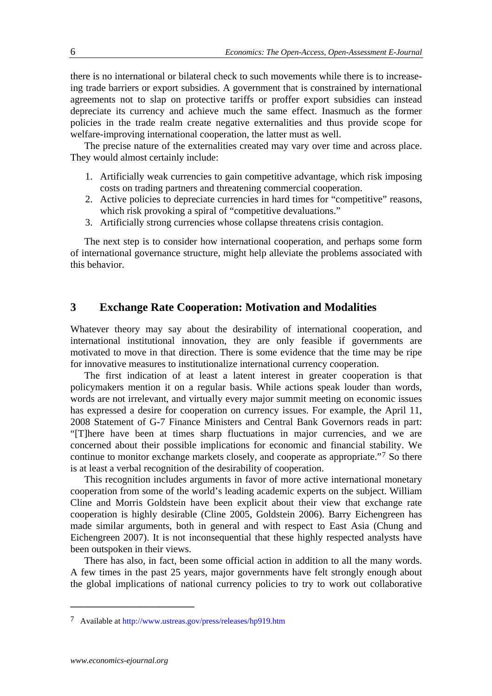there is no international or bilateral check to such movements while there is to increaseing trade barriers or export subsidies. A government that is constrained by international agreements not to slap on protective tariffs or proffer export subsidies can instead depreciate its currency and achieve much the same effect. Inasmuch as the former policies in the trade realm create negative externalities and thus provide scope for welfare-improving international cooperation, the latter must as well.

The precise nature of the externalities created may vary over time and across place. They would almost certainly include:

- 1. Artificially weak currencies to gain competitive advantage, which risk imposing costs on trading partners and threatening commercial cooperation.
- 2. Active policies to depreciate currencies in hard times for "competitive" reasons, which risk provoking a spiral of "competitive devaluations."
- 3. Artificially strong currencies whose collapse threatens crisis contagion.

The next step is to consider how international cooperation, and perhaps some form of international governance structure, might help alleviate the problems associated with this behavior.

## **3 Exchange Rate Cooperation: Motivation and Modalities**

Whatever theory may say about the desirability of international cooperation, and international institutional innovation, they are only feasible if governments are motivated to move in that direction. There is some evidence that the time may be ripe for innovative measures to institutionalize international currency cooperation.

The first indication of at least a latent interest in greater cooperation is that policymakers mention it on a regular basis. While actions speak louder than words, words are not irrelevant, and virtually every major summit meeting on economic issues has expressed a desire for cooperation on currency issues. For example, the April 11, 2008 Statement of G-7 Finance Ministers and Central Bank Governors reads in part: "[T]here have been at times sharp fluctuations in major currencies, and we are concerned about their possible implications for economic and financial stability. We continue to monitor exchange markets closely, and cooperate as appropriate."[7](#page-6-0) So there is at least a verbal recognition of the desirability of cooperation.

This recognition includes arguments in favor of more active international monetary cooperation from some of the world's leading academic experts on the subject. William Cline and Morris Goldstein have been explicit about their view that exchange rate cooperation is highly desirable (Cline 2005, Goldstein 2006). Barry Eichengreen has made similar arguments, both in general and with respect to East Asia (Chung and Eichengreen 2007). It is not inconsequential that these highly respected analysts have been outspoken in their views.

There has also, in fact, been some official action in addition to all the many words. A few times in the past 25 years, major governments have felt strongly enough about the global implications of national currency policies to try to work out collaborative

<span id="page-6-0"></span><sup>7</sup> Available at<http://www.ustreas.gov/press/releases/hp919.htm>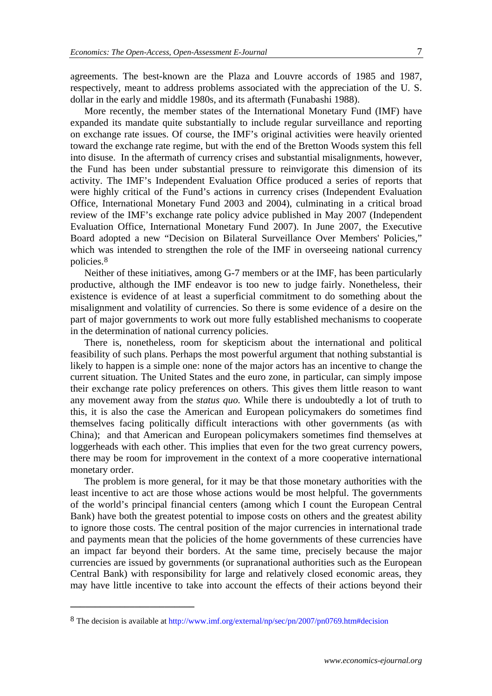agreements. The best-known are the Plaza and Louvre accords of 1985 and 1987, respectively, meant to address problems associated with the appreciation of the U. S. dollar in the early and middle 1980s, and its aftermath (Funabashi 1988).

More recently, the member states of the International Monetary Fund (IMF) have expanded its mandate quite substantially to include regular surveillance and reporting on exchange rate issues. Of course, the IMF's original activities were heavily oriented toward the exchange rate regime, but with the end of the Bretton Woods system this fell into disuse. In the aftermath of currency crises and substantial misalignments, however, the Fund has been under substantial pressure to reinvigorate this dimension of its activity. The IMF's Independent Evaluation Office produced a series of reports that were highly critical of the Fund's actions in currency crises (Independent Evaluation Office, International Monetary Fund 2003 and 2004), culminating in a critical broad review of the IMF's exchange rate policy advice published in May 2007 (Independent Evaluation Office, International Monetary Fund 2007). In June 2007, the Executive Board adopted a new "Decision on Bilateral Surveillance Over Members' Policies," which was intended to strengthen the role of the IMF in overseeing national currency policies.[8](#page-7-0)

Neither of these initiatives, among G-7 members or at the IMF, has been particularly productive, although the IMF endeavor is too new to judge fairly. Nonetheless, their existence is evidence of at least a superficial commitment to do something about the misalignment and volatility of currencies. So there is some evidence of a desire on the part of major governments to work out more fully established mechanisms to cooperate in the determination of national currency policies.

There is, nonetheless, room for skepticism about the international and political feasibility of such plans. Perhaps the most powerful argument that nothing substantial is likely to happen is a simple one: none of the major actors has an incentive to change the current situation. The United States and the euro zone, in particular, can simply impose their exchange rate policy preferences on others. This gives them little reason to want any movement away from the *status quo.* While there is undoubtedly a lot of truth to this, it is also the case the American and European policymakers do sometimes find themselves facing politically difficult interactions with other governments (as with China); and that American and European policymakers sometimes find themselves at loggerheads with each other. This implies that even for the two great currency powers, there may be room for improvement in the context of a more cooperative international monetary order.

The problem is more general, for it may be that those monetary authorities with the least incentive to act are those whose actions would be most helpful. The governments of the world's principal financial centers (among which I count the European Central Bank) have both the greatest potential to impose costs on others and the greatest ability to ignore those costs. The central position of the major currencies in international trade and payments mean that the policies of the home governments of these currencies have an impact far beyond their borders. At the same time, precisely because the major currencies are issued by governments (or supranational authorities such as the European Central Bank) with responsibility for large and relatively closed economic areas, they may have little incentive to take into account the effects of their actions beyond their

<span id="page-7-0"></span><sup>8</sup> The decision is available at<http://www.imf.org/external/np/sec/pn/2007/pn0769.htm#decision>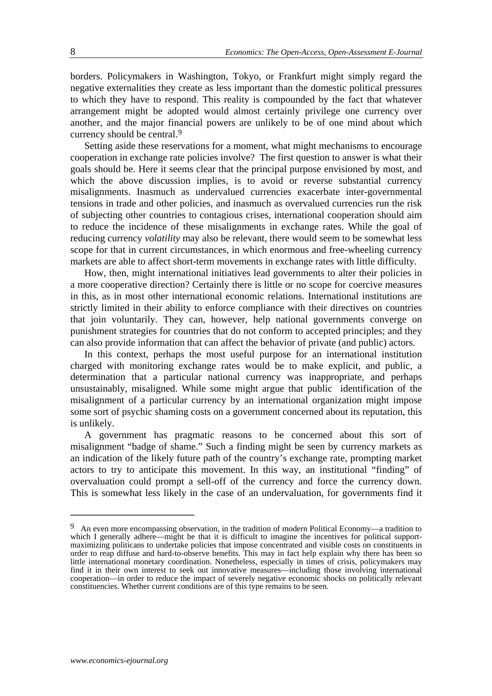borders. Policymakers in Washington, Tokyo, or Frankfurt might simply regard the negative externalities they create as less important than the domestic political pressures to which they have to respond. This reality is compounded by the fact that whatever arrangement might be adopted would almost certainly privilege one currency over another, and the major financial powers are unlikely to be of one mind about which currency should be central[.9](#page-8-0)

Setting aside these reservations for a moment, what might mechanisms to encourage cooperation in exchange rate policies involve? The first question to answer is what their goals should be. Here it seems clear that the principal purpose envisioned by most, and which the above discussion implies, is to avoid or reverse substantial currency misalignments. Inasmuch as undervalued currencies exacerbate inter-governmental tensions in trade and other policies, and inasmuch as overvalued currencies run the risk of subjecting other countries to contagious crises, international cooperation should aim to reduce the incidence of these misalignments in exchange rates. While the goal of reducing currency *volatility* may also be relevant, there would seem to be somewhat less scope for that in current circumstances, in which enormous and free-wheeling currency markets are able to affect short-term movements in exchange rates with little difficulty.

How, then, might international initiatives lead governments to alter their policies in a more cooperative direction? Certainly there is little or no scope for coercive measures in this, as in most other international economic relations. International institutions are strictly limited in their ability to enforce compliance with their directives on countries that join voluntarily. They can, however, help national governments converge on punishment strategies for countries that do not conform to accepted principles; and they can also provide information that can affect the behavior of private (and public) actors.

In this context, perhaps the most useful purpose for an international institution charged with monitoring exchange rates would be to make explicit, and public, a determination that a particular national currency was inappropriate, and perhaps unsustainably, misaligned. While some might argue that public identification of the misalignment of a particular currency by an international organization might impose some sort of psychic shaming costs on a government concerned about its reputation, this is unlikely.

A government has pragmatic reasons to be concerned about this sort of misalignment "badge of shame." Such a finding might be seen by currency markets as an indication of the likely future path of the country's exchange rate, prompting market actors to try to anticipate this movement. In this way, an institutional "finding" of overvaluation could prompt a sell-off of the currency and force the currency down. This is somewhat less likely in the case of an undervaluation, for governments find it

<span id="page-8-0"></span><sup>9</sup> An even more encompassing observation, in the tradition of modern Political Economy—a tradition to which I generally adhere—might be that it is difficult to imagine the incentives for political supportmaximizing politicans to undertake policies that impose concentrated and visible costs on constituents in order to reap diffuse and hard-to-observe benefits. This may in fact help explain why there has been so little international monetary coordination. Nonetheless, especially in times of crisis, policymakers may find it in their own interest to seek out innovative measures—including those involving international cooperation—in order to reduce the impact of severely negative economic shocks on politically relevant constituencies. Whether current conditions are of this type remains to be seen.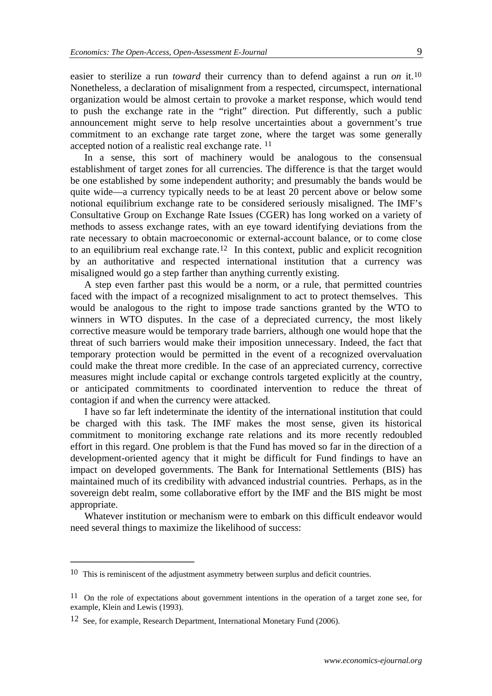easier to sterilize a run *toward* their currency than to defend against a run *on* it.[10](#page-9-0) Nonetheless, a declaration of misalignment from a respected, circumspect, international organization would be almost certain to provoke a market response, which would tend to push the exchange rate in the "right" direction. Put differently, such a public announcement might serve to help resolve uncertainties about a government's true commitment to an exchange rate target zone, where the target was some generally accepted notion of a realistic real exchange rate. [11](#page-9-1)

In a sense, this sort of machinery would be analogous to the consensual establishment of target zones for all currencies. The difference is that the target would be one established by some independent authority; and presumably the bands would be quite wide—a currency typically needs to be at least 20 percent above or below some notional equilibrium exchange rate to be considered seriously misaligned. The IMF's Consultative Group on Exchange Rate Issues (CGER) has long worked on a variety of methods to assess exchange rates, with an eye toward identifying deviations from the rate necessary to obtain macroeconomic or external-account balance, or to come close to an equilibrium real exchange rate.<sup>[12](#page-9-2)</sup> In this context, public and explicit recognition by an authoritative and respected international institution that a currency was misaligned would go a step farther than anything currently existing.

A step even farther past this would be a norm, or a rule, that permitted countries faced with the impact of a recognized misalignment to act to protect themselves. This would be analogous to the right to impose trade sanctions granted by the WTO to winners in WTO disputes. In the case of a depreciated currency, the most likely corrective measure would be temporary trade barriers, although one would hope that the threat of such barriers would make their imposition unnecessary. Indeed, the fact that temporary protection would be permitted in the event of a recognized overvaluation could make the threat more credible. In the case of an appreciated currency, corrective measures might include capital or exchange controls targeted explicitly at the country, or anticipated commitments to coordinated intervention to reduce the threat of contagion if and when the currency were attacked.

I have so far left indeterminate the identity of the international institution that could be charged with this task. The IMF makes the most sense, given its historical commitment to monitoring exchange rate relations and its more recently redoubled effort in this regard. One problem is that the Fund has moved so far in the direction of a development-oriented agency that it might be difficult for Fund findings to have an impact on developed governments. The Bank for International Settlements (BIS) has maintained much of its credibility with advanced industrial countries. Perhaps, as in the sovereign debt realm, some collaborative effort by the IMF and the BIS might be most appropriate.

Whatever institution or mechanism were to embark on this difficult endeavor would need several things to maximize the likelihood of success:

<span id="page-9-0"></span><sup>10</sup> This is reminiscent of the adjustment asymmetry between surplus and deficit countries.

<span id="page-9-1"></span> $11$  On the role of expectations about government intentions in the operation of a target zone see, for example, Klein and Lewis (1993).

<span id="page-9-2"></span><sup>12</sup> See, for example, Research Department, International Monetary Fund (2006).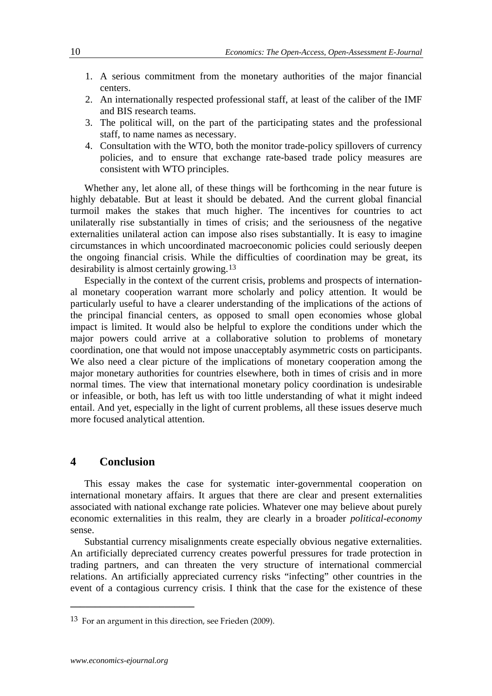- 1. A serious commitment from the monetary authorities of the major financial centers.
- 2. An internationally respected professional staff, at least of the caliber of the IMF and BIS research teams.
- 3. The political will, on the part of the participating states and the professional staff, to name names as necessary.
- 4. Consultation with the WTO, both the monitor trade-policy spillovers of currency policies, and to ensure that exchange rate-based trade policy measures are consistent with WTO principles.

Whether any, let alone all, of these things will be forthcoming in the near future is highly debatable. But at least it should be debated. And the current global financial turmoil makes the stakes that much higher. The incentives for countries to act unilaterally rise substantially in times of crisis; and the seriousness of the negative externalities unilateral action can impose also rises substantially. It is easy to imagine circumstances in which uncoordinated macroeconomic policies could seriously deepen the ongoing financial crisis. While the difficulties of coordination may be great, its desirability is almost certainly growing.[13](#page-10-0)

Especially in the context of the current crisis, problems and prospects of international monetary cooperation warrant more scholarly and policy attention. It would be particularly useful to have a clearer understanding of the implications of the actions of the principal financial centers, as opposed to small open economies whose global impact is limited. It would also be helpful to explore the conditions under which the major powers could arrive at a collaborative solution to problems of monetary coordination, one that would not impose unacceptably asymmetric costs on participants. We also need a clear picture of the implications of monetary cooperation among the major monetary authorities for countries elsewhere, both in times of crisis and in more normal times. The view that international monetary policy coordination is undesirable or infeasible, or both, has left us with too little understanding of what it might indeed entail. And yet, especially in the light of current problems, all these issues deserve much more focused analytical attention.

# **4 Conclusion**

This essay makes the case for systematic inter-governmental cooperation on international monetary affairs. It argues that there are clear and present externalities associated with national exchange rate policies. Whatever one may believe about purely economic externalities in this realm, they are clearly in a broader *political-economy* sense.

Substantial currency misalignments create especially obvious negative externalities. An artificially depreciated currency creates powerful pressures for trade protection in trading partners, and can threaten the very structure of international commercial relations. An artificially appreciated currency risks "infecting" other countries in the event of a contagious currency crisis. I think that the case for the existence of these

<span id="page-10-0"></span><sup>13</sup> For an argument in this direction, see Frieden (2009).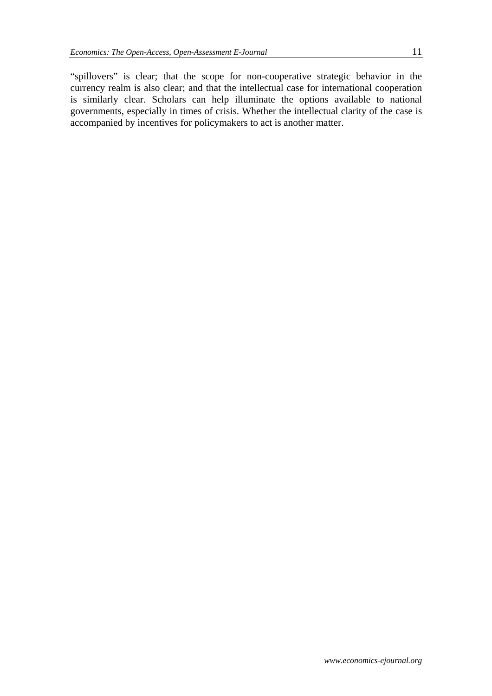"spillovers" is clear; that the scope for non-cooperative strategic behavior in the currency realm is also clear; and that the intellectual case for international cooperation is similarly clear. Scholars can help illuminate the options available to national governments, especially in times of crisis. Whether the intellectual clarity of the case is accompanied by incentives for policymakers to act is another matter.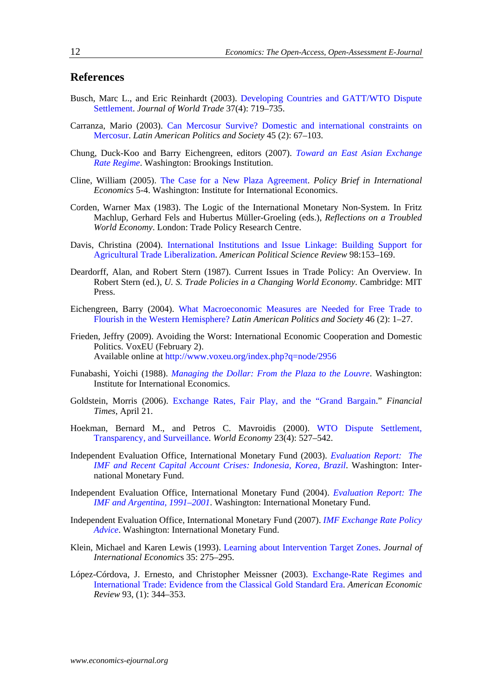## **References**

- Busch, Marc L., and Eric Reinhardt (2003). [Developing Countries and GATT/WTO Dispute](http://userwww.service.emory.edu/%7Eerein/research/JWT.pdf)  [Settlement](http://userwww.service.emory.edu/%7Eerein/research/JWT.pdf). *Journal of World Trade* 37(4): 719–735.
- Carranza, Mario (2003). [Can Mercosur Survive? Domestic and international constraints on](http://findarticles.com/p/articles/mi_qa4000/is_200307/ai_n9289210)  [Mercosur.](http://findarticles.com/p/articles/mi_qa4000/is_200307/ai_n9289210) *Latin American Politics and Society* 45 (2): 67–103.
- Chung, Duck-Koo and Barry Eichengreen, editors (2007). *[Toward an East Asian Exchange](http://www.brookings.edu/press/Books/2007/towardaneastasianexchangerateregime.aspx)  [Rate Regime](http://www.brookings.edu/press/Books/2007/towardaneastasianexchangerateregime.aspx)*. Washington: Brookings Institution.
- Cline, William (2005). [The Case for a New Plaza Agreement.](http://www.iie.com/publications/pb/pb05-4.pdf) *Policy Brief in International Economics* 5-4. Washington: Institute for International Economics.
- Corden, Warner Max (1983). The Logic of the International Monetary Non-System. In Fritz Machlup, Gerhard Fels and Hubertus Müller-Groeling (eds.), *Reflections on a Troubled World Economy*. London: Trade Policy Research Centre.
- Davis, Christina (2004). [International Institutions and Issue Linkage: Building Support for](http://journals.cambridge.org/action/displayAbstract?aid=205174)  [Agricultural Trade Liberalization](http://journals.cambridge.org/action/displayAbstract?aid=205174). *American Political Science Review* 98:153–169.
- Deardorff, Alan, and Robert Stern (1987). Current Issues in Trade Policy: An Overview. In Robert Stern (ed.), *U. S. Trade Policies in a Changing World Economy*. Cambridge: MIT Press.
- Eichengreen, Barry (2004). [What Macroeconomic Measures are Needed for Free Trade to](http://findarticles.com/p/articles/mi_qa4000/is_200407/ai_n9453972)  [Flourish in the Western Hemisphere?](http://findarticles.com/p/articles/mi_qa4000/is_200407/ai_n9453972) *Latin American Politics and Society* 46 (2): 1–27.
- Frieden, Jeffry (2009). Avoiding the Worst: International Economic Cooperation and Domestic Politics. VoxEU (February 2). Available online at <http://www.voxeu.org/index.php?q=node/2956>
- Funabashi, Yoichi (1988). *[Managing the Dollar: From the Plaza to the Louvre](http://ideas.repec.org/a/eee/inecon/v26y1989i3-4p394-396.html)*. Washington: Institute for International Economics.
- Goldstein, Morris (2006). [Exchange Rates, Fair Play, and the "Grand Bargain](http://www.ft.com/cms/s/11b7c506-d096-11da-b160-0000779e2340,Authorised=false.html?_i_location=http%3A%2F%2Fwww.ft.com%2Fcms%2Fs%2F1%2F11b7c506-d096-11da-b160-0000779e2340.html&_i_referer=)." *Financial Times*, April 21.
- Hoekman, Bernard M., and Petros C. Mavroidis (2000). [WTO Dispute Settlement,](http://ideas.repec.org/a/bla/worlde/v23y2000i04p527-542.html)  [Transparency, and Surveillance](http://ideas.repec.org/a/bla/worlde/v23y2000i04p527-542.html). *World Economy* 23(4): 527–542.
- Independent Evaluation Office, International Monetary Fund (2003). *[Evaluation Report: The](http://www.imf.org/favicon.ico)  [IMF and Recent Capital Account Crises: Indonesia, Korea, Brazil](http://www.imf.org/favicon.ico)*. Washington: International Monetary Fund.
- Independent Evaluation Office, International Monetary Fund (2004). *[Evaluation Report: The](http://www.imf.org/EXTERNAL/NP/IEO/2004/ARG/ENG/INDEX.HTM)  [IMF and Argentina, 1991–2001](http://www.imf.org/EXTERNAL/NP/IEO/2004/ARG/ENG/INDEX.HTM)*. Washington: International Monetary Fund.
- Independent Evaluation Office, International Monetary Fund (2007). *[IMF Exchange Rate Policy](http://www.ieo-imf.org/eval/complete/eval_05172007.html)  [Advice](http://www.ieo-imf.org/eval/complete/eval_05172007.html)*. Washington: International Monetary Fund.
- Klein, Michael and Karen Lewis (1993). [Learning about Intervention Target Zones.](http://ideas.repec.org/a/eee/inecon/v35y1993i3-4p275-295.html) *Journal of International Economic*s 35: 275–295.
- López-Córdova, J. Ernesto, and Christopher Meissner (2003). Exchange-Rate Regimes and [International Trade: Evidence from the Classical Gold Standard Era](http://ideas.repec.org/a/aea/aecrev/v93y2003i1p344-353.html) . *American Economic Review* 93, (1): 344–353.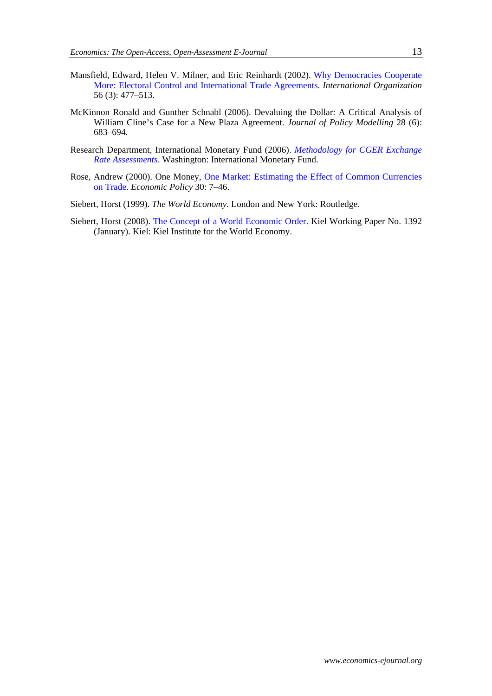- Mansfield, Edward, Helen V. Milner, and Eric Reinhardt (2002). [Why Democracies Cooperate](http://ideas.repec.org/a/tpr/intorg/v56y2002i3p477-513.html)  [More: Electoral Control and International Trade Agreements](http://ideas.repec.org/a/tpr/intorg/v56y2002i3p477-513.html). *International Organization* 56 (3): 477–513.
- McKinnon Ronald and Gunther Schnabl (2006). Devaluing the Dollar: A Critical Analysis of William Cline's Case for a New Plaza Agreement. *Journal of Policy Modelling* 28 (6): 683–694.
- Research Department, International Monetary Fund (2006). *[Methodology for CGER Exchange](http://www.imf.org/external/np/pp/eng/2006/110806.pdf)  [Rate Assessments](http://www.imf.org/external/np/pp/eng/2006/110806.pdf)*. Washington: International Monetary Fund.
- Rose, Andrew (2000). One Money, [One Market: Estimating the Effect of Common Currencies](http://faculty.haas.berkeley.edu/arose/Grav.pdf)  [on Trade.](http://faculty.haas.berkeley.edu/arose/Grav.pdf) *Economic Policy* 30: 7–46.
- Siebert, Horst (1999). *The World Economy*. London and New York: Routledge.
- Siebert, Horst (2008). [The Concept of a World Economic Order](http://ideas.repec.org/p/kie/kieliw/1392.html). Kiel Working Paper No. 1392 (January). Kiel: Kiel Institute for the World Economy.